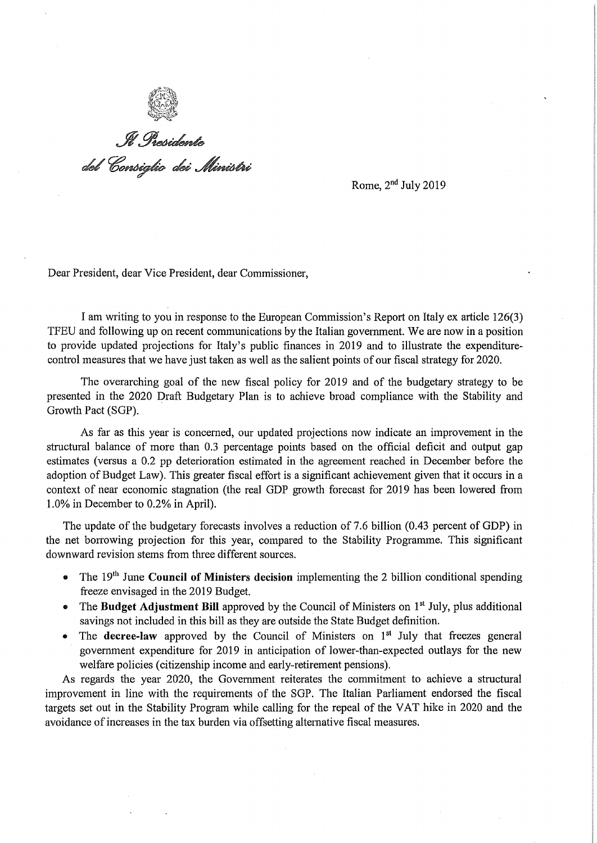

.<br>Il Presidente<br>del Consiglio dei Ministri

Rome, 2nd JuIy 2019

Dear President, dear Vice President, dear Commissioner,

I am writing to you in response to the European Commission's Report on ltaly ex article 126(3) TFEU and following up on recent communications by the Italian government. We are now in a position to provide updated projections for Italy's public finances in 2019 and to illustrate the expenditurecontroi measures that we have just taken as well as the salient points of our fiscal strategy for 2020.

The overarching goal of the new fiscal policy for 2019 and of the budgetary strategy to be presented in the 2020 Draft Budgetary PIan is to achieve broad compliance with the Stability and Growth Pact (SGP).

As far as this year is concerned, our updated projections now indicate an improvement in the structural balance of more than 0.3 percentage points based on the officiai deficit and output gap estimates (versus a 0.2 pp deterioration estimated in the agreement reached in December before the adoption of Budget Law). This greater fiscal effort is a significant achievement given that it occurs in a context of near economie stagnation (the real GDP growth forecast for 2019 has been lowered from 1.0% in December to 0.2% in ApriI).

The update of the budgetary forecasts involves a reduction of 7.6 billion (0.43 percent of GDP) in the net borrowing projection for this year, compared to the Stability Programme. This significant downward revision stems from three different sources.

- The 19<sup>th</sup> June **Council of Ministers decision** implementing the 2 billion conditional spending freeze envisaged in the 2019 Budget.
- The **Budget Adjustment Bill** approved by the Council of Ministers on 1<sup>st</sup> July, plus additional savings not included in this bilI as they are outside the State Budget definition.
- The **decree-law** approved by the Council of Ministers on 1<sup>st</sup> July that freezes general govemment expenditure for 2019 in anticipation of Iower-than-expected outlays for the new weIfare policies (citizenship income and early-retirement pensions).

As regards the year 2020, the Govemment reiterates the commitment to achieve a structural improvement in line with the requirements of the SGP. The ltalian Parliament endorsed the fiscai targets set out in the Stability Program while calling for the repeal of the VAT hike in 2020 and the avoidance of increases in the tax burden via offsetting alternative fiscal measures.